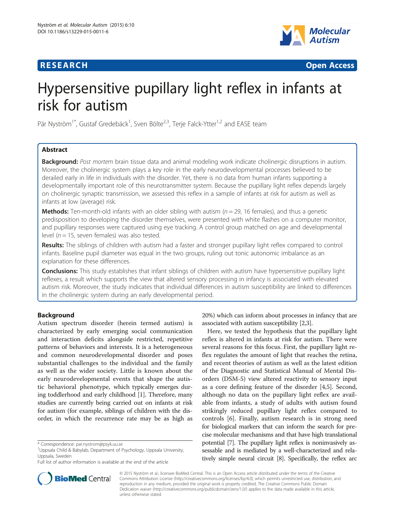# **RESEARCH RESEARCH** *CHECKER CHECKER CHECKER CHECKER CHECKER CHECKER CHECKER CHECKER CHECKER CHECKER*



# Hypersensitive pupillary light reflex in infants at risk for autism

Pär Nyström<sup>1\*</sup>, Gustaf Gredebäck<sup>1</sup>, Sven Bölte<sup>2,3</sup>, Terje Falck-Ytter<sup>1,2</sup> and EASE team

# Abstract

Background: Post mortem brain tissue data and animal modeling work indicate cholinergic disruptions in autism. Moreover, the cholinergic system plays a key role in the early neurodevelopmental processes believed to be derailed early in life in individuals with the disorder. Yet, there is no data from human infants supporting a developmentally important role of this neurotransmitter system. Because the pupillary light reflex depends largely on cholinergic synaptic transmission, we assessed this reflex in a sample of infants at risk for autism as well as infants at low (average) risk.

**Methods:** Ten-month-old infants with an older sibling with autism ( $n = 29$ , 16 females), and thus a genetic predisposition to developing the disorder themselves, were presented with white flashes on a computer monitor, and pupillary responses were captured using eye tracking. A control group matched on age and developmental level ( $n = 15$ , seven females) was also tested.

Results: The siblings of children with autism had a faster and stronger pupillary light reflex compared to control infants. Baseline pupil diameter was equal in the two groups, ruling out tonic autonomic imbalance as an explanation for these differences.

Conclusions: This study establishes that infant siblings of children with autism have hypersensitive pupillary light reflexes, a result which supports the view that altered sensory processing in infancy is associated with elevated autism risk. Moreover, the study indicates that individual differences in autism susceptibility are linked to differences in the cholinergic system during an early developmental period.

# Background

Autism spectrum disorder (herein termed autism) is characterized by early emerging social communication and interaction deficits alongside restricted, repetitive patterns of behaviors and interests. It is a heterogeneous and common neurodevelopmental disorder and poses substantial challenges to the individual and the family as well as the wider society. Little is known about the early neurodevelopmental events that shape the autistic behavioral phenotype, which typically emerges during toddlerhood and early childhood [[1](#page-4-0)]. Therefore, many studies are currently being carried out on infants at risk for autism (for example, siblings of children with the disorder, in which the recurrence rate may be as high as



Here, we tested the hypothesis that the pupillary light reflex is altered in infants at risk for autism. There were several reasons for this focus. First, the pupillary light reflex regulates the amount of light that reaches the retina, and recent theories of autism as well as the latest edition of the Diagnostic and Statistical Manual of Mental Disorders (DSM-5) view altered reactivity to sensory input as a core defining feature of the disorder [[4](#page-4-0),[5\]](#page-4-0). Second, although no data on the pupillary light reflex are available from infants, a study of adults with autism found strikingly reduced pupillary light reflex compared to controls [[6\]](#page-4-0). Finally, autism research is in strong need for biological markers that can inform the search for precise molecular mechanisms and that have high translational potential [\[7](#page-4-0)]. The pupillary light reflex is noninvasively assessable and is mediated by a well-characterized and relatively simple neural circuit [\[8](#page-4-0)]. Specifically, the reflex arc



© 2015 Nyström et al.; licensee BioMed Central. This is an Open Access article distributed under the terms of the Creative Commons Attribution License [\(http://creativecommons.org/licenses/by/4.0\)](http://creativecommons.org/licenses/by/4.0), which permits unrestricted use, distribution, and reproduction in any medium, provided the original work is properly credited. The Creative Commons Public Domain Dedication waiver [\(http://creativecommons.org/publicdomain/zero/1.0/](http://creativecommons.org/publicdomain/zero/1.0/)) applies to the data made available in this article, unless otherwise stated.

<sup>\*</sup> Correspondence: [par.nystrom@psyk.uu.se](mailto:par.nystrom@psyk.uu.se) <sup>1</sup>

<sup>&</sup>lt;sup>1</sup>Uppsala Child & Babylab, Department of Psychology, Uppsala University, Uppsala, Sweden

Full list of author information is available at the end of the article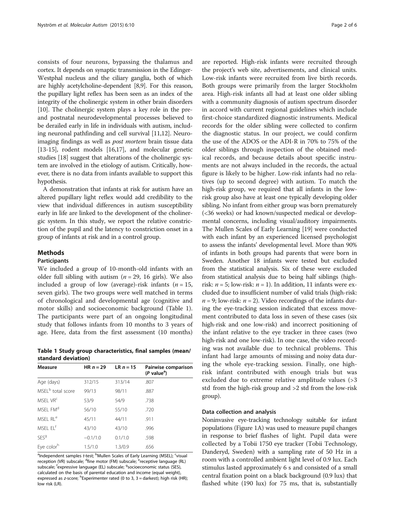consists of four neurons, bypassing the thalamus and cortex. It depends on synaptic transmission in the Edinger-Westphal nucleus and the ciliary ganglia, both of which are highly acetylcholine-dependent [\[8,9\]](#page-4-0). For this reason, the pupillary light reflex has been seen as an index of the integrity of the cholinergic system in other brain disorders [[10](#page-4-0)]. The cholinergic system plays a key role in the preand postnatal neurodevelopmental processes believed to be derailed early in life in individuals with autism, including neuronal pathfinding and cell survival [[11,12](#page-4-0)]. Neuroimaging findings as well as *post mortem* brain tissue data [[13](#page-4-0)-[15\]](#page-5-0), rodent models [\[16,17\]](#page-5-0), and molecular genetic studies [\[18](#page-5-0)] suggest that alterations of the cholinergic system are involved in the etiology of autism. Critically, however, there is no data from infants available to support this hypothesis.

A demonstration that infants at risk for autism have an altered pupillary light reflex would add credibility to the view that individual differences in autism susceptibility early in life are linked to the development of the cholinergic system. In this study, we report the relative constriction of the pupil and the latency to constriction onset in a group of infants at risk and in a control group.

# Methods

## Participants

We included a group of 10-month-old infants with an older full sibling with autism ( $n = 29$ , 16 girls). We also included a group of low (average)-risk infants ( $n = 15$ , seven girls). The two groups were well matched in terms of chronological and developmental age (cognitive and motor skills) and socioeconomic background (Table 1). The participants were part of an ongoing longitudinal study that follows infants from 10 months to 3 years of age. Here, data from the first assessment (10 months)

Table 1 Study group characteristics, final samples (mean/ standard deviation)

| <b>Measure</b>                | HR $n = 29$ | $LR n = 15$ | Pairwise comparison<br>$(P$ value <sup>a</sup> ) |
|-------------------------------|-------------|-------------|--------------------------------------------------|
| Age (days)                    | 312/15      | 313/14      | .807                                             |
| MSEL <sup>b</sup> total score | 99/13       | 98/11       | .887                                             |
| MSFI VRC                      | 53/9        | 54/9        | .738                                             |
| MSEL FM <sup>d</sup>          | 56/10       | 55/10       | .720                                             |
| MSFIRI <sup>e</sup>           | 45/11       | 44/11       | .911                                             |
| MSFL FL <sup>f</sup>          | 43/10       | 43/10       | .996                                             |
| SES <sup>9</sup>              | $-0.1/1.0$  | 0.1/1.0     | .598                                             |
| Eye colorh                    | 1.5/1.0     | 1.3/0.9     | .656                                             |

<sup>a</sup>Independent samples *t*-test; <sup>b</sup>Mullen Scales of Early Learning (MSEL); <sup>c</sup>visual reception (VR) subscale; <sup>d</sup>fine motor (FM) subscale; <sup>e</sup>receptive language (RL) subscale; <sup>f</sup>expressive language (EL) subscale; <sup>g</sup>socioeconomic status (SES), calculated on the basis of parental education and income (equal weight), expressed as *z*-score; <sup>h</sup>Experimenter rated (0 to 3, 3 = darkest); high risk (HR); low risk (LR).

are reported. High-risk infants were recruited through the project's web site, advertisements, and clinical units. Low-risk infants were recruited from live birth records. Both groups were primarily from the larger Stockholm area. High-risk infants all had at least one older sibling with a community diagnosis of autism spectrum disorder in accord with current regional guidelines which include first-choice standardized diagnostic instruments. Medical records for the older sibling were collected to confirm the diagnostic status. In our project, we could confirm the use of the ADOS or the ADI-R in 70% to 75% of the older siblings through inspection of the obtained medical records, and because details about specific instruments are not always included in the records, the actual figure is likely to be higher. Low-risk infants had no relatives (up to second degree) with autism. To match the high-risk group, we required that all infants in the lowrisk group also have at least one typically developing older sibling. No infant from either group was born prematurely (<36 weeks) or had known/suspected medical or developmental concerns, including visual/auditory impairments. The Mullen Scales of Early Learning [[19](#page-5-0)] were conducted with each infant by an experienced licensed psychologist to assess the infants' developmental level. More than 90% of infants in both groups had parents that were born in Sweden. Another 18 infants were tested but excluded from the statistical analysis. Six of these were excluded from statistical analysis due to being half siblings (highrisk:  $n = 5$ ; low-risk:  $n = 1$ ). In addition, 11 infants were excluded due to insufficient number of valid trials (high-risk:  $n = 9$ ; low-risk:  $n = 2$ ). Video recordings of the infants during the eye-tracking session indicated that excess movement contributed to data loss in seven of these cases (six high-risk and one low-risk) and incorrect positioning of the infant relative to the eye tracker in three cases (two high-risk and one low-risk). In one case, the video recording was not available due to technical problems. This infant had large amounts of missing and noisy data during the whole eye-tracking session. Finally, one highrisk infant contributed with enough trials but was excluded due to extreme relative amplitude values (>3 std from the high-risk group and >2 std from the low-risk group).

#### Data collection and analysis

Noninvasive eye-tracking technology suitable for infant populations (Figure [1](#page-2-0)A) was used to measure pupil changes in response to brief flashes of light. Pupil data were collected by a Tobii 1750 eye tracker (Tobii Technology, Danderyd, Sweden) with a sampling rate of 50 Hz in a room with a controlled ambient light level of 0.9 lux. Each stimulus lasted approximately 6 s and consisted of a small central fixation point on a black background (0.9 lux) that flashed white (190 lux) for 75 ms, that is, substantially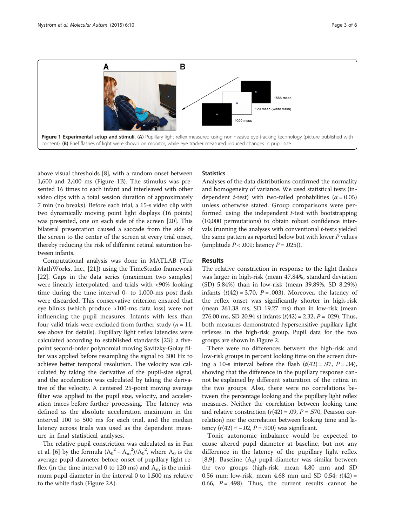<span id="page-2-0"></span>

above visual thresholds [[8](#page-4-0)], with a random onset between 1,600 and 2,400 ms (Figure 1B). The stimulus was presented 16 times to each infant and interleaved with other video clips with a total session duration of approximately 7 min (no breaks). Before each trial, a 15-s video clip with two dynamically moving point light displays (16 points) was presented, one on each side of the screen [\[20\]](#page-5-0). This bilateral presentation caused a saccade from the side of the screen to the center of the screen at every trial onset, thereby reducing the risk of different retinal saturation between infants.

Computational analysis was done in MATLAB (The MathWorks, Inc., [\[21](#page-5-0)]) using the TimeStudio framework [[22\]](#page-5-0). Gaps in the data series (maximum two samples) were linearly interpolated, and trials with <90% looking time during the time interval 0- to 1,000-ms post flash were discarded. This conservative criterion ensured that eye blinks (which produce >100-ms data loss) were not influencing the pupil measures. Infants with less than four valid trials were excluded from further study ( $n = 11$ , see above for details). Pupillary light reflex latencies were calculated according to established standards [[23](#page-5-0)]: a fivepoint second-order polynomial moving Savitzky-Golay filter was applied before resampling the signal to 300 Hz to achieve better temporal resolution. The velocity was calculated by taking the derivative of the pupil-size signal, and the acceleration was calculated by taking the derivative of the velocity. A centered 25-point moving average filter was applied to the pupil size, velocity, and acceleration traces before further processing. The latency was defined as the absolute acceleration maximum in the interval 100 to 500 ms for each trial, and the median latency across trials was used as the dependent measure in final statistical analyses.

The relative pupil constriction was calculated as in Fan et al. [[6\]](#page-4-0) by the formula  $(A_0^2 - A_m^2)/A_0^2$ , where  $A_0$  is the average pupil diameter before onset of pupillary light reflex (in the time interval 0 to 120 ms) and  $A<sub>m</sub>$  is the minimum pupil diameter in the interval 0 to 1,500 ms relative to the white flash (Figure [2](#page-3-0)A).

# **Statistics**

Analyses of the data distributions confirmed the normality and homogeneity of variance. We used statistical tests (independent *t*-test) with two-tailed probabilities ( $\alpha = 0.05$ ) unless otherwise stated. Group comparisons were performed using the independent  $t$ -test with bootstrapping (10,000 permutations) to obtain robust confidence intervals (running the analyses with conventional *t*-tests yielded the same pattern as reported below but with lower  $P$  values (amplitude  $P < .001$ ; latency  $P = .025$ )).

# Results

The relative constriction in response to the light flashes was larger in high-risk (mean 47.84%, standard deviation (SD) 5.84%) than in low-risk (mean 39.89%, SD 8.29%) infants  $(t(42) = 3.70, P = .003)$ . Moreover, the latency of the reflex onset was significantly shorter in high-risk (mean 261.38 ms, SD 19.27 ms) than in low-risk (mean 276.00 ms, SD 20.94 s) infants  $(t(42) = 2.32, P = .029)$ . Thus, both measures demonstrated hypersensitive pupillary light reflexes in the high-risk group. Pupil data for the two groups are shown in Figure [2](#page-3-0).

There were no differences between the high-risk and low-risk groups in percent looking time on the screen during a 10-s interval before the flash  $(t(42) = .97, P = .34)$ , showing that the difference in the pupillary response cannot be explained by different saturation of the retina in the two groups. Also, there were no correlations between the percentage looking and the pupillary light reflex measures. Neither the correlation between looking time and relative constriction  $(r(42) = .09, P = .570,$  Pearson correlation) nor the correlation between looking time and latency  $(r(42) = -.02, P = .900)$  was significant.

Tonic autonomic imbalance would be expected to cause altered pupil diameter at baseline, but not any difference in the latency of the pupillary light reflex [[8,9](#page-4-0)]. Baseline  $(A_0)$  pupil diameter was similar between the two groups (high-risk, mean 4.80 mm and SD 0.56 mm; low-risk, mean 4.68 mm and SD 0.54;  $t(42) =$ 0.66,  $P = .498$ ). Thus, the current results cannot be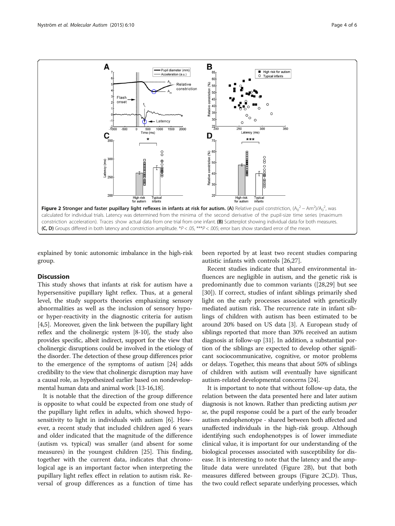<span id="page-3-0"></span>

calculated for individual trials. Latency was determined from the minima of the second derivative of the pupil-size time series (maximum constriction acceleration). Traces show actual data from one trial from one infant. (B) Scatterplot showing individual data for both measures. (C, D) Groups differed in both latency and constriction amplitude. \*P < .05, \*\*\*P < .005; error bars show standard error of the mean.

explained by tonic autonomic imbalance in the high-risk group.

# **Discussion**

This study shows that infants at risk for autism have a hypersensitive pupillary light reflex. Thus, at a general level, the study supports theories emphasizing sensory abnormalities as well as the inclusion of sensory hypoor hyper-reactivity in the diagnostic criteria for autism [[4,5\]](#page-4-0). Moreover, given the link between the pupillary light reflex and the cholinergic system [[8-10\]](#page-4-0), the study also provides specific, albeit indirect, support for the view that cholinergic disruptions could be involved in the etiology of the disorder. The detection of these group differences prior to the emergence of the symptoms of autism [\[24\]](#page-5-0) adds credibility to the view that cholinergic disruption may have a causal role, as hypothesized earlier based on nondevelopmental human data and animal work [[13](#page-4-0)-[16,18\]](#page-5-0).

It is notable that the direction of the group difference is opposite to what could be expected from one study of the pupillary light reflex in adults, which showed hyposensitivity to light in individuals with autism [\[6\]](#page-4-0). However, a recent study that included children aged 6 years and older indicated that the magnitude of the difference (autism vs. typical) was smaller (and absent for some measures) in the youngest children [\[25](#page-5-0)]. This finding, together with the current data, indicates that chronological age is an important factor when interpreting the pupillary light reflex effect in relation to autism risk. Reversal of group differences as a function of time has been reported by at least two recent studies comparing autistic infants with controls [[26,27\]](#page-5-0).

Recent studies indicate that shared environmental influences are negligible in autism, and the genetic risk is predominantly due to common variants ([\[28,29](#page-5-0)] but see [[30\]](#page-5-0)). If correct, studies of infant siblings primarily shed light on the early processes associated with genetically mediated autism risk. The recurrence rate in infant siblings of children with autism has been estimated to be around 20% based on US data [\[3](#page-4-0)]. A European study of siblings reported that more than 30% received an autism diagnosis at follow-up [[31\]](#page-5-0). In addition, a substantial portion of the siblings are expected to develop other significant sociocommunicative, cognitive, or motor problems or delays. Together, this means that about 50% of siblings of children with autism will eventually have significant autism-related developmental concerns [[24](#page-5-0)].

It is important to note that without follow-up data, the relation between the data presented here and later autism diagnosis is not known. Rather than predicting autism per se, the pupil response could be a part of the early broader autism endophenotype - shared between both affected and unaffected individuals in the high-risk group. Although identifying such endophenotypes is of lower immediate clinical value, it is important for our understanding of the biological processes associated with susceptibility for disease. It is interesting to note that the latency and the amplitude data were unrelated (Figure 2B), but that both measures differed between groups (Figure 2C,D). Thus, the two could reflect separate underlying processes, which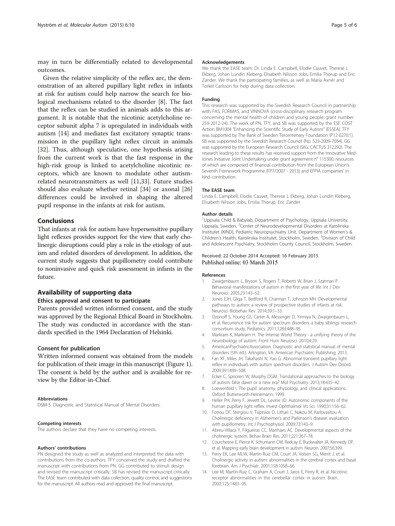<span id="page-4-0"></span>may in turn be differentially related to developmental outcomes.

Given the relative simplicity of the reflex arc, the demonstration of an altered pupillary light reflex in infants at risk for autism could help narrow the search for biological mechanisms related to the disorder [8]. The fact that the reflex can be studied in animals adds to this argument. It is notable that the nicotinic acetylcholine receptor subunit alpha 7 is upregulated in individuals with autism [14] and mediates fast excitatory synaptic transmission in the pupillary light reflex circuit in animals [[32\]](#page-5-0). Thus, although speculative, one hypothesis arising from the current work is that the fast response in the high-risk group is linked to acetylcholine nicotinic receptors, which are known to modulate other autismrelated neurotransmitters as well [11,[33](#page-5-0)]. Future studies should also evaluate whether retinal [\[34](#page-5-0)] or axonal [[26](#page-5-0)] differences could be involved in shaping the altered pupil response in the infants at risk for autism.

# Conclusions

That infants at risk for autism have hypersensitive pupillary light reflexes provides support for the view that early cholinergic disruptions could play a role in the etiology of autism and related disorders of development. In addition, the current study suggests that pupillometry could contribute to noninvasive and quick risk assessment in infants in the future.

# Availability of supporting data

#### Ethics approval and consent to participate

Parents provided written informed consent, and the study was approved by the Regional Ethical Board in Stockholm. The study was conducted in accordance with the standards specified in the 1964 Declaration of Helsinki.

#### Consent for publication

Written informed consent was obtained from the models for publication of their image in this manuscript (Figure [1](#page-2-0)). The consent is held by the author and is available for review by the Editor-in-Chief.

#### Abbreviations

DSM-5: Diagnostic and Statistical Manual of Mental Disorders.

#### Competing interests

The authors declare that they have no competing interests.

#### Authors' contributions

PN designed the study as well as analyzed and interpreted the data with contributions from the co-authors. TFY conceived the study and drafted the manuscript with contributions from PN. GG contributed to stimuli design and revised the manuscript critically. SB has revised the manuscript critically. The EASE team contributed with data collection, quality control, and suggestions for the manuscript. All authors read and approved the final manuscript.

#### Acknowledgements

We thank the EASE team: Dr. Linda E. Campbell, Elodie Cauvet, Therese L Ekberg, Johan Lundin Kleberg, Elisabeth Nilsson Jobs, Emilia Thorup and Eric Zander. We thank the participating families, as well as Maria Axnér and Torkel Carlsson for help during data collection.

#### Funding

This research was supported by the Swedish Research Council in partnership with FAS, FORMAS, and VINNOVA (cross-disciplinary research program concerning the mental health of children and young people; grant number 259-2012-24). The work of PN, TFY, and SB was supported by the ESF COST Action BM1004 "Enhancing the Scientific Study of Early Autism" (ESSEA). TFY was supported by The Bank of Sweden Tercentenary Foundation (P12-0270:1). SB was supported by the Swedish Research Council (No. 523-2009-7054). GG was supported by the European Research Council (StG: CACTUS 312292). The research leading to these results has received support from the Innovative Medicines Initiative Joint Undertaking under grant agreement n° 115300, resources of which are composed of financial contribution from the European Union's Seventh Framework Programme (FP7/2007 - 2013) and EFPIA companies' in kind contribution.

#### The EASE team

Linda E. Campbell, Elodie Cauvet, Therese L Ekberg, Johan Lundin Kleberg, Elisabeth Nilsson Jobs, Emilia Thorup, Eric Zander

#### Author details

<sup>1</sup>Uppsala Child & Babylab, Department of Psychology, Uppsala University, Uppsala, Sweden. <sup>2</sup>Center of Neurodevelopmental Disorders at Karolinska Institutet (KIND), Pediatric Neuropsychiatry Unit, Department of Women's & Children's Health, Karolinska Institutet, Stockholm, Sweden. <sup>3</sup>Division of Child and Adolescent Psychiatry, Stockholm County Council, Stockholm, Sweden.

#### Received: 22 October 2014 Accepted: 16 February 2015 Published online: 03 March 2015

## References

- 1. Zwaigenbaum L, Bryson S, Rogers T, Roberts W, Brian J, Szatmari P. Behavioral manifestations of autism in the first year of life. Int J Dev Neurosci. 2005;23:143–52.
- 2. Jones EJH, Gliga T, Bedford R, Charman T, Johnson MH. Developmental pathways to autism: a review of prospective studies of infants at risk. Neurosci Biobehav Rev. 2014;39:1–33.
- 3. Ozonoff S, Young GS, Carter A, Messinger D, Yirmiya N, Zwaigenbaum L, et al. Recurrence risk for autism spectrum disorders: a baby siblings research consortium study. Pediatrics. 2011;128:E488–95.
- 4. Markram K, Markram H. The Intense World Theory a unifying theory of the neurobiology of autism. Front Hum Neurosci. 2010;4:29.
- 5. AmericanPsychiatricAssociation. Diagnostic and statistical manual of mental disorders (5th ed.). Arlington, VA: American Psychiatric Publishing; 2013.
- 6. Fan XF, Miles JH, Takahashi N, Yao G. Abnormal transient pupillary light reflex in individuals with autism spectrum disorders. J Autism Dev Disord. 2009;39:1499–508.
- 7. Ecker C, Spooren W, Murphy DGM. Translational approaches to the biology of autism: false dawn or a new era? Mol Psychiatry. 2013;18:435–42.
- 8. Loewenfeld I. The pupil: anatomy, physiology, and clinical applications. Oxford: Butterworth-Heinemann; 1999.
- 9. Heller PH, Perry F, Jewett DL, Levine JD. Autonomic components of the human pupillary light reflex. Invest Ophthalmol Vis Sci. 1990;31:156–62.
- 10. Fotiou DF, Stergiou V, Tsiptsios D, Lithari C, Nakou M, Karlovasitou A. Cholinergic deficiency in Alzheimer's and Parkinson's disease: evaluation with pupillometry. Int J Psychophysiol. 2009;73:143–9.
- 11. Abreu-Villaca Y, Filgueiras CC, Manhaes AC. Developmental aspects of the cholinergic system. Behav Brain Res. 2011;221:367–78.
- 12. Courchesne E, Pierce K, Schumann CM, Redcay E, Buckwalter JA, Kennedy DP, et al. Mapping early brain development in autism. Neuron. 2007;56:399.
- 13. Perry EK, Lee MLW, Martin-Ruiz CM, Court JA, Volsen SG, Merrit J, et al. Cholinergic activity in autism: abnormalities in the cerebral cortex and basal forebrain. Am J Psychiatr. 2001;158:1058–66.
- 14. Lee M, Martin-Ruiz C, Graham A, Court J, Jaros E, Perry R, et al. Nicotinic receptor abnormalities in the cerebellar cortex in autism. Brain. 2002;125:1483–95.